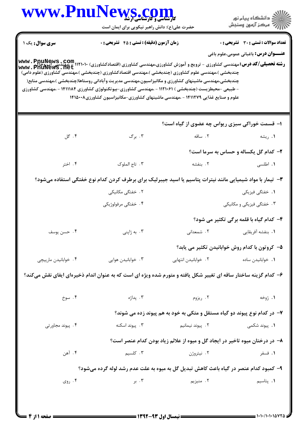|                       | www.PnuNews.com                                                                                                                                                                                                                                                                                                                                                                                                                                                                                                                                           |                                                                              | ِ<br>∭ دانشڪاه پيام نور<br>∭ مرڪز آزمون وسنڊش  |  |
|-----------------------|-----------------------------------------------------------------------------------------------------------------------------------------------------------------------------------------------------------------------------------------------------------------------------------------------------------------------------------------------------------------------------------------------------------------------------------------------------------------------------------------------------------------------------------------------------------|------------------------------------------------------------------------------|------------------------------------------------|--|
|                       | حضرت علی(ع): دانش راهبر نیکویی برای ایمان است                                                                                                                                                                                                                                                                                                                                                                                                                                                                                                             |                                                                              |                                                |  |
| <b>سری سوال:</b> یک ۱ | <b>زمان آزمون (دقیقه) : تستی : 45 گشریحی : 0</b>                                                                                                                                                                                                                                                                                                                                                                                                                                                                                                          |                                                                              | <b>تعداد سوالات : تستی : 30 ٪ تشریحی : 0</b>   |  |
|                       |                                                                                                                                                                                                                                                                                                                                                                                                                                                                                                                                                           |                                                                              | <b>عنـــوان درس:</b> باغبانی عمومی،علوم باغی   |  |
|                       | <b>رشته تحصیلی/کد درس:</b> مهندسی کشاورزی - ترویج و آموزش کشاورزی،مهندسی کشاورزی (اقتصادکشاورزی) ۱۱۲۱۰۱۰- ،مهندسی اپ وحا<br>WWW . PnuNews . net<br>چندبخشی )،مهندسی علوم کشاورزی (چندبخشی )،مهندسی اقتصادکشاورزی (چندبخشی )،مهندسی کشاورزی (علوم دامی)<br>چندبخشی،مهندسی ماشینهای کشاورزی و مکانیزاسیون،مهندسی مدیریت وآبادانی روستاها(چندبخشی )،مهندسی منابع(<br>- طبیعی -محیطزیست (چندبخشی ) ۱۱۲۱۰۶۱ - ،مهندسی کشاورزی-بیوتکنولوژی کشاورزی ۱۴۱۱۱۸۴ - ،مهندسی کشاورزی<br>علوم و صنایع غذایی ۱۴۱۱۲۷۹ - مهندسی ماشینهای کشاورزی-مکانیزاسیون کشاورزی۱۴۱۵۰۰۸ |                                                                              |                                                |  |
|                       |                                                                                                                                                                                                                                                                                                                                                                                                                                                                                                                                                           | ۱- قسمت خوراکی سبزی ریواس چه عضوی از گیاه است؟                               |                                                |  |
| ۰۴ گل                 | ۰۳ برگ                                                                                                                                                                                                                                                                                                                                                                                                                                                                                                                                                    | ۲. ساقه                                                                      | ۰۱ ریشه                                        |  |
|                       |                                                                                                                                                                                                                                                                                                                                                                                                                                                                                                                                                           |                                                                              | ۲- کدام گل یکساله و حساس به سرما است؟          |  |
| ۰۴ اختر               | ۰۳ تاج الملوک                                                                                                                                                                                                                                                                                                                                                                                                                                                                                                                                             | ۰۲ بنفشه                                                                     | <b>۱.</b> اطلسی                                |  |
|                       | ۳– تیمار با مواد شیمیایی مانند نیترات پتاسیم یا اسید جیبرلیک برای برطرف کردن کدام نوع خفتگی استفاده میشود؟                                                                                                                                                                                                                                                                                                                                                                                                                                                |                                                                              |                                                |  |
|                       | ۲. خفتگی مکانیکی                                                                                                                                                                                                                                                                                                                                                                                                                                                                                                                                          |                                                                              | <b>۱.</b> خفتگی فیزیکی                         |  |
|                       | ۴. خفتگی مرفولوژیکی                                                                                                                                                                                                                                                                                                                                                                                                                                                                                                                                       |                                                                              | ۰۳ خفتگی فیزیکی و مکانیکی                      |  |
|                       |                                                                                                                                                                                                                                                                                                                                                                                                                                                                                                                                                           |                                                                              | ۴- کدام گیاه با قلمه برگی تکثیر می شود؟        |  |
| ۰۴ حسن يوسف           | ۰۳ به ژاپنی                                                                                                                                                                                                                                                                                                                                                                                                                                                                                                                                               | ۲. شمعدانی                                                                   | <b>۱</b> . بنفشه آفریقایی                      |  |
|                       |                                                                                                                                                                                                                                                                                                                                                                                                                                                                                                                                                           |                                                                              | ۵– کروتون با کدام روش خوابانیدن تکثیر می یابد؟ |  |
| ۰۴ خوابانیدن مارپیچی  | ۰۳ خوابانیدن هوایی                                                                                                                                                                                                                                                                                                                                                                                                                                                                                                                                        | ٢. خوابانيدن انتهايي                                                         | ٠١. خوابانيدن ساده                             |  |
|                       | ۶– کدام گزینه ساختار ساقه ای تغییر شکل یافته و متورم شده ویژه ای است که به عنوان اندام ذخیرهای ایفای نقش میکند؟                                                                                                                                                                                                                                                                                                                                                                                                                                           |                                                                              |                                                |  |
| ۰۴ سوخ                | ۰۳ پداژه                                                                                                                                                                                                                                                                                                                                                                                                                                                                                                                                                  | ۰۲ ریزوم                                                                     | ۱. ژوخه                                        |  |
|                       |                                                                                                                                                                                                                                                                                                                                                                                                                                                                                                                                                           | ۷- در کدام نوع پیوند دو گیاه مستقل و متکی به خود به هم پیوند زده می شوند؟    |                                                |  |
| ۰۴ پیوند مجاورتی      | ۰۳ پیوند اسکنه                                                                                                                                                                                                                                                                                                                                                                                                                                                                                                                                            | ۰۲ پیوند نیمانیم                                                             | ۰۱. پیوند شکمی                                 |  |
|                       |                                                                                                                                                                                                                                                                                                                                                                                                                                                                                                                                                           | ۸– در درختان میوه تاخیر در ایجاد گل و میوه از علائم زیاد بودن کدام عنصر است؟ |                                                |  |
| ۴. آهن                | ۰۳ کلسیم                                                                                                                                                                                                                                                                                                                                                                                                                                                                                                                                                  | ۰۲ نیتروژن                                                                   | ۰۱ فسفر                                        |  |
|                       | ۹– کمبود کدام عنصر در گیاه باعث کاهش تبدیل گل به میوه به علت عدم رشد لوله گرده میشود؟                                                                                                                                                                                                                                                                                                                                                                                                                                                                     |                                                                              |                                                |  |
|                       |                                                                                                                                                                                                                                                                                                                                                                                                                                                                                                                                                           |                                                                              |                                                |  |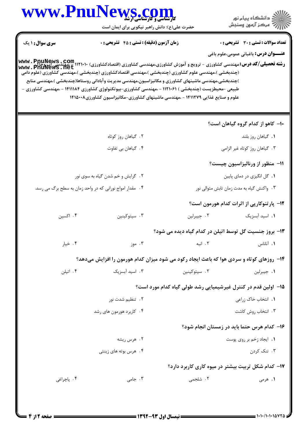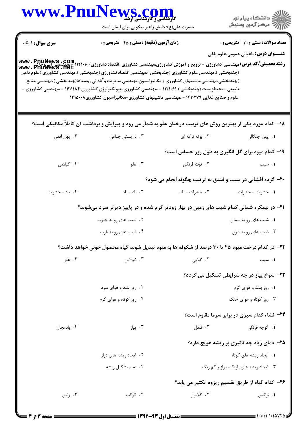